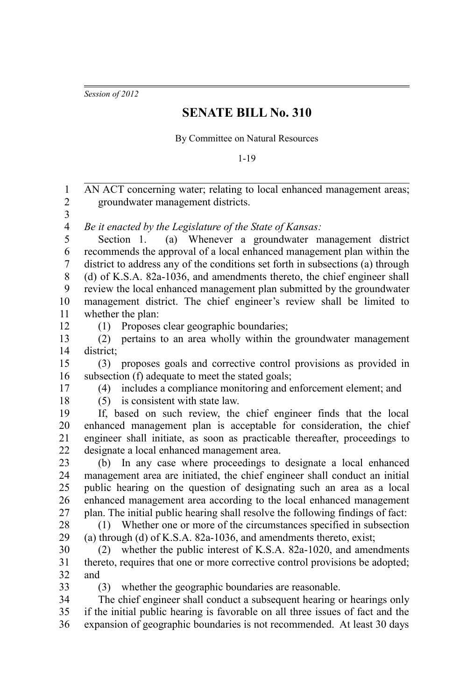*Session of 2012*

## **SENATE BILL No. 310**

By Committee on Natural Resources

1-19

| $\mathbf{1}$             | AN ACT concerning water; relating to local enhanced management areas;            |
|--------------------------|----------------------------------------------------------------------------------|
| $\overline{c}$           | groundwater management districts.                                                |
| 3                        |                                                                                  |
| $\overline{\mathcal{A}}$ | Be it enacted by the Legislature of the State of Kansas:                         |
| 5                        | (a) Whenever a groundwater management district<br>Section 1.                     |
| 6                        | recommends the approval of a local enhanced management plan within the           |
| 7                        | district to address any of the conditions set forth in subsections (a) through   |
| $8\,$                    | (d) of K.S.A. 82a-1036, and amendments thereto, the chief engineer shall         |
| 9                        | review the local enhanced management plan submitted by the groundwater           |
| 10                       | management district. The chief engineer's review shall be limited to             |
| 11                       | whether the plan:                                                                |
| 12<br>13                 | Proposes clear geographic boundaries;<br>(1)                                     |
| 14                       | pertains to an area wholly within the groundwater management<br>(2)<br>district; |
| 15                       | proposes goals and corrective control provisions as provided in<br>(3)           |
| 16                       | subsection (f) adequate to meet the stated goals;                                |
| 17                       | includes a compliance monitoring and enforcement element; and<br>(4)             |
| 18                       | (5) is consistent with state law.                                                |
| 19                       | If, based on such review, the chief engineer finds that the local                |
| 20                       | enhanced management plan is acceptable for consideration, the chief              |
| 21                       | engineer shall initiate, as soon as practicable thereafter, proceedings to       |
| 22                       | designate a local enhanced management area.                                      |
| 23                       | (b) In any case where proceedings to designate a local enhanced                  |
| 24                       | management area are initiated, the chief engineer shall conduct an initial       |
| 25                       | public hearing on the question of designating such an area as a local            |
| 26                       | enhanced management area according to the local enhanced management              |
| 27                       | plan. The initial public hearing shall resolve the following findings of fact:   |
| 28                       | (1) Whether one or more of the circumstances specified in subsection             |
| 29                       | (a) through (d) of K.S.A. 82a-1036, and amendments thereto, exist;               |
| 30                       | whether the public interest of K.S.A. 82a-1020, and amendments<br>(2)            |
| 31                       | thereto, requires that one or more corrective control provisions be adopted;     |
| 32                       | and                                                                              |
| 33                       | whether the geographic boundaries are reasonable.<br>(3)                         |
| 34                       | The chief engineer shall conduct a subsequent hearing or hearings only           |
| 35                       | if the initial public hearing is favorable on all three issues of fact and the   |
| 36                       | expansion of geographic boundaries is not recommended. At least 30 days          |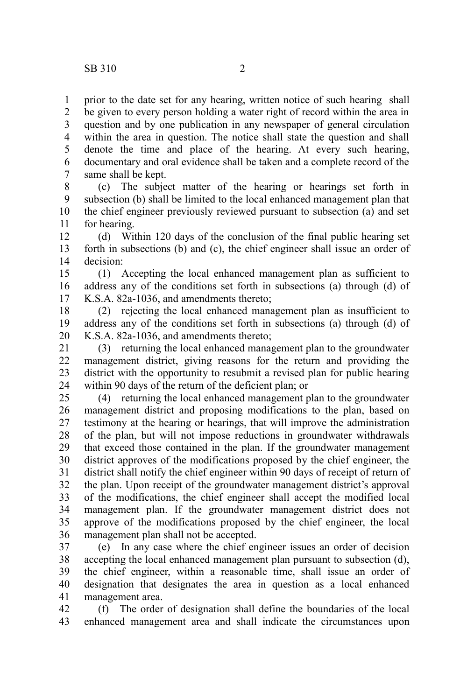prior to the date set for any hearing, written notice of such hearing shall be given to every person holding a water right of record within the area in question and by one publication in any newspaper of general circulation within the area in question. The notice shall state the question and shall denote the time and place of the hearing. At every such hearing, documentary and oral evidence shall be taken and a complete record of the same shall be kept. 1 2 3 4 5 6 7

(c) The subject matter of the hearing or hearings set forth in subsection (b) shall be limited to the local enhanced management plan that the chief engineer previously reviewed pursuant to subsection (a) and set for hearing. 8 9 10 11

(d) Within 120 days of the conclusion of the final public hearing set forth in subsections (b) and (c), the chief engineer shall issue an order of decision: 12 13 14

(1) Accepting the local enhanced management plan as sufficient to address any of the conditions set forth in subsections (a) through (d) of K.S.A. 82a-1036, and amendments thereto; 15 16 17

(2) rejecting the local enhanced management plan as insufficient to address any of the conditions set forth in subsections (a) through (d) of K.S.A. 82a-1036, and amendments thereto; 18 19 20

(3) returning the local enhanced management plan to the groundwater management district, giving reasons for the return and providing the district with the opportunity to resubmit a revised plan for public hearing within 90 days of the return of the deficient plan; or 21 22 23 24

(4) returning the local enhanced management plan to the groundwater management district and proposing modifications to the plan, based on testimony at the hearing or hearings, that will improve the administration of the plan, but will not impose reductions in groundwater withdrawals that exceed those contained in the plan. If the groundwater management district approves of the modifications proposed by the chief engineer, the district shall notify the chief engineer within 90 days of receipt of return of the plan. Upon receipt of the groundwater management district's approval of the modifications, the chief engineer shall accept the modified local management plan. If the groundwater management district does not approve of the modifications proposed by the chief engineer, the local management plan shall not be accepted. 25 26 27 28 29 30 31 32 33 34 35 36

(e) In any case where the chief engineer issues an order of decision accepting the local enhanced management plan pursuant to subsection (d), the chief engineer, within a reasonable time, shall issue an order of designation that designates the area in question as a local enhanced management area. 37 38 39 40 41

(f) The order of designation shall define the boundaries of the local enhanced management area and shall indicate the circumstances upon 42 43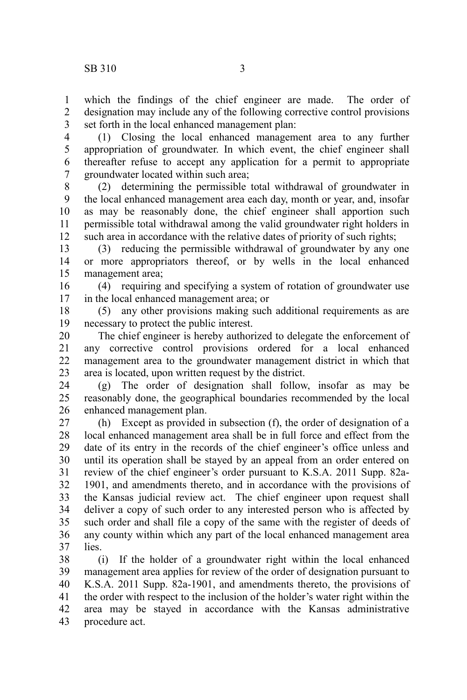1 2 which the findings of the chief engineer are made. The order of designation may include any of the following corrective control provisions

set forth in the local enhanced management plan: 3

(1) Closing the local enhanced management area to any further appropriation of groundwater. In which event, the chief engineer shall thereafter refuse to accept any application for a permit to appropriate groundwater located within such area; 4 5 6 7

(2) determining the permissible total withdrawal of groundwater in the local enhanced management area each day, month or year, and, insofar as may be reasonably done, the chief engineer shall apportion such permissible total withdrawal among the valid groundwater right holders in such area in accordance with the relative dates of priority of such rights; 8 9 10 11 12

(3) reducing the permissible withdrawal of groundwater by any one or more appropriators thereof, or by wells in the local enhanced management area; 13 14 15

(4) requiring and specifying a system of rotation of groundwater use in the local enhanced management area; or 16 17

(5) any other provisions making such additional requirements as are necessary to protect the public interest. 18 19

The chief engineer is hereby authorized to delegate the enforcement of any corrective control provisions ordered for a local enhanced management area to the groundwater management district in which that area is located, upon written request by the district. 20 21 22 23

(g) The order of designation shall follow, insofar as may be reasonably done, the geographical boundaries recommended by the local enhanced management plan. 24 25 26

(h) Except as provided in subsection (f), the order of designation of a local enhanced management area shall be in full force and effect from the date of its entry in the records of the chief engineer's office unless and until its operation shall be stayed by an appeal from an order entered on review of the chief engineer's order pursuant to K.S.A. 2011 Supp. 82a-1901, and amendments thereto, and in accordance with the provisions of the Kansas judicial review act. The chief engineer upon request shall deliver a copy of such order to any interested person who is affected by such order and shall file a copy of the same with the register of deeds of any county within which any part of the local enhanced management area lies. 27 28 29 30 31 32 33 34 35 36 37

(i) If the holder of a groundwater right within the local enhanced management area applies for review of the order of designation pursuant to K.S.A. 2011 Supp. 82a-1901, and amendments thereto, the provisions of the order with respect to the inclusion of the holder's water right within the area may be stayed in accordance with the Kansas administrative procedure act. 38 39 40 41 42 43